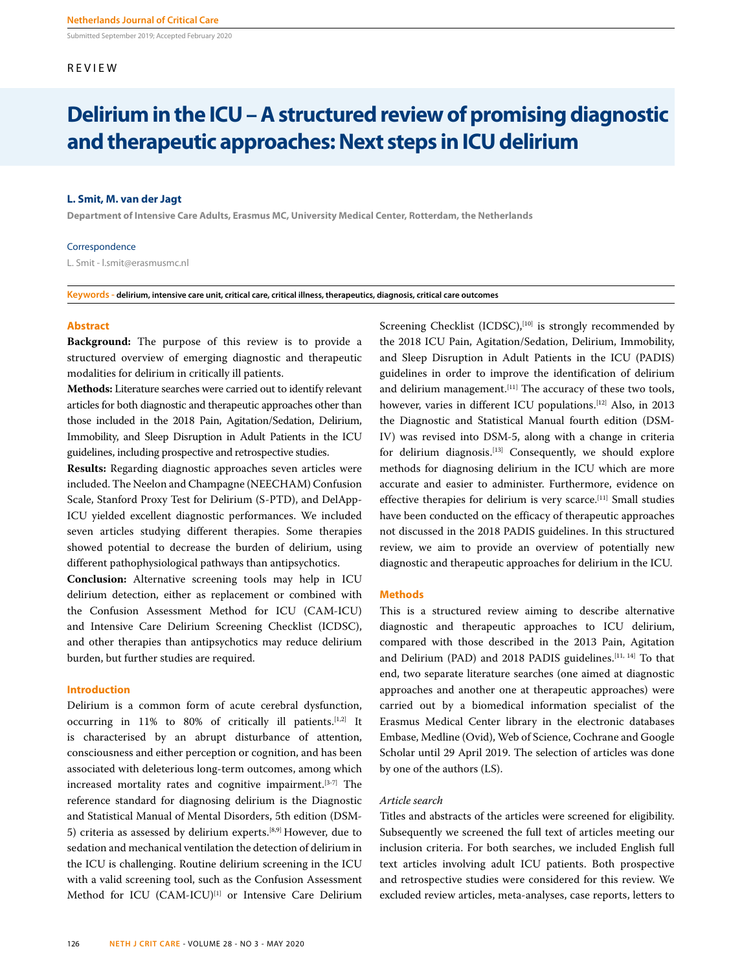Submitted September 2019; Accepted February 2020

# REVIEW

# **Delirium in the ICU – A structured review of promising diagnostic and therapeutic approaches: Next steps in ICU delirium**

# **L. Smit, M. van der Jagt**

**Department of Intensive Care Adults, Erasmus MC, University Medical Center, Rotterdam, the Netherlands** 

#### Correspondence

L. Smit - l.smit@erasmusmc.nl

**Keywords - delirium, intensive care unit, critical care, critical illness, therapeutics, diagnosis, critical care outcomes** 

# **Abstract**

**Background:** The purpose of this review is to provide a structured overview of emerging diagnostic and therapeutic modalities for delirium in critically ill patients.

**Methods:** Literature searches were carried out to identify relevant articles for both diagnostic and therapeutic approaches other than those included in the 2018 Pain, Agitation/Sedation, Delirium, Immobility, and Sleep Disruption in Adult Patients in the ICU guidelines, including prospective and retrospective studies.

**Results:** Regarding diagnostic approaches seven articles were included. The Neelon and Champagne (NEECHAM) Confusion Scale, Stanford Proxy Test for Delirium (S-PTD), and DelApp-ICU yielded excellent diagnostic performances. We included seven articles studying different therapies. Some therapies showed potential to decrease the burden of delirium, using different pathophysiological pathways than antipsychotics.

**Conclusion:** Alternative screening tools may help in ICU delirium detection, either as replacement or combined with the Confusion Assessment Method for ICU (CAM-ICU) and Intensive Care Delirium Screening Checklist (ICDSC), and other therapies than antipsychotics may reduce delirium burden, but further studies are required.

## **Introduction**

Delirium is a common form of acute cerebral dysfunction, occurring in 11% to 80% of critically ill patients.<sup>[1,2]</sup> It is characterised by an abrupt disturbance of attention, consciousness and either perception or cognition, and has been associated with deleterious long-term outcomes, among which increased mortality rates and cognitive impairment.[3-7] The reference standard for diagnosing delirium is the Diagnostic and Statistical Manual of Mental Disorders, 5th edition (DSM-5) criteria as assessed by delirium experts.[8,9] However, due to sedation and mechanical ventilation the detection of delirium in the ICU is challenging. Routine delirium screening in the ICU with a valid screening tool, such as the Confusion Assessment Method for ICU (CAM-ICU)<sup>[1]</sup> or Intensive Care Delirium Screening Checklist (ICDSC),<sup>[10]</sup> is strongly recommended by the 2018 ICU Pain, Agitation/Sedation, Delirium, Immobility, and Sleep Disruption in Adult Patients in the ICU (PADIS) guidelines in order to improve the identification of delirium and delirium management.<sup>[11]</sup> The accuracy of these two tools, however, varies in different ICU populations.<sup>[12]</sup> Also, in 2013 the Diagnostic and Statistical Manual fourth edition (DSM-IV) was revised into DSM-5, along with a change in criteria for delirium diagnosis.[13] Consequently, we should explore methods for diagnosing delirium in the ICU which are more accurate and easier to administer. Furthermore, evidence on effective therapies for delirium is very scarce.<sup>[11]</sup> Small studies have been conducted on the efficacy of therapeutic approaches not discussed in the 2018 PADIS guidelines. In this structured review, we aim to provide an overview of potentially new diagnostic and therapeutic approaches for delirium in the ICU.

## **Methods**

This is a structured review aiming to describe alternative diagnostic and therapeutic approaches to ICU delirium, compared with those described in the 2013 Pain, Agitation and Delirium (PAD) and 2018 PADIS guidelines.<sup>[11, 14]</sup> To that end, two separate literature searches (one aimed at diagnostic approaches and another one at therapeutic approaches) were carried out by a biomedical information specialist of the Erasmus Medical Center library in the electronic databases Embase, Medline (Ovid), Web of Science, Cochrane and Google Scholar until 29 April 2019. The selection of articles was done by one of the authors (LS).

# *Article search*

Titles and abstracts of the articles were screened for eligibility. Subsequently we screened the full text of articles meeting our inclusion criteria. For both searches, we included English full text articles involving adult ICU patients. Both prospective and retrospective studies were considered for this review. We excluded review articles, meta-analyses, case reports, letters to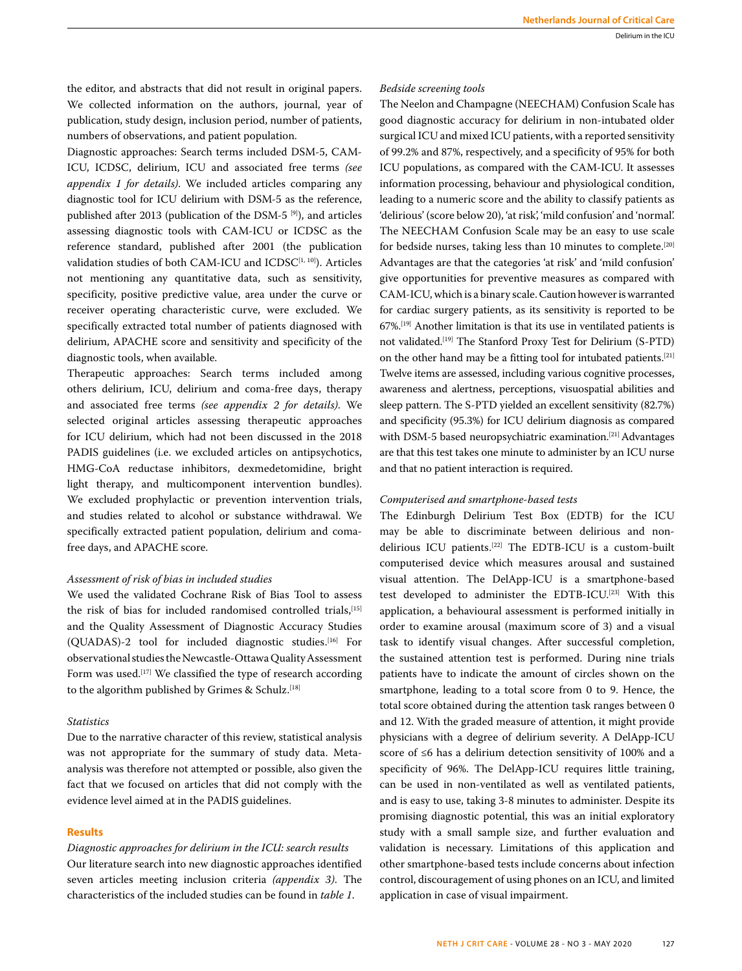the editor, and abstracts that did not result in original papers. We collected information on the authors, journal, year of publication, study design, inclusion period, number of patients, numbers of observations, and patient population.

Diagnostic approaches: Search terms included DSM-5, CAM-ICU, ICDSC, delirium, ICU and associated free terms *(see appendix 1 for details)*. We included articles comparing any diagnostic tool for ICU delirium with DSM-5 as the reference, published after 2013 (publication of the DSM-5 [9]), and articles assessing diagnostic tools with CAM-ICU or ICDSC as the reference standard, published after 2001 (the publication validation studies of both CAM-ICU and ICDSC<sup>[1, 10]</sup>). Articles not mentioning any quantitative data, such as sensitivity, specificity, positive predictive value, area under the curve or receiver operating characteristic curve, were excluded. We specifically extracted total number of patients diagnosed with delirium, APACHE score and sensitivity and specificity of the diagnostic tools, when available.

Therapeutic approaches: Search terms included among others delirium, ICU, delirium and coma-free days, therapy and associated free terms *(see appendix 2 for details)*. We selected original articles assessing therapeutic approaches for ICU delirium, which had not been discussed in the 2018 PADIS guidelines (i.e. we excluded articles on antipsychotics, HMG-CoA reductase inhibitors, dexmedetomidine, bright light therapy, and multicomponent intervention bundles). We excluded prophylactic or prevention intervention trials, and studies related to alcohol or substance withdrawal. We specifically extracted patient population, delirium and comafree days, and APACHE score.

# *Assessment of risk of bias in included studies*

We used the validated Cochrane Risk of Bias Tool to assess the risk of bias for included randomised controlled trials,<sup>[15]</sup> and the Quality Assessment of Diagnostic Accuracy Studies (QUADAS)-2 tool for included diagnostic studies.<sup>[16]</sup> For observational studies the Newcastle-Ottawa Quality Assessment Form was used.<sup>[17]</sup> We classified the type of research according to the algorithm published by Grimes & Schulz.<sup>[18]</sup>

# *Statistics*

Due to the narrative character of this review, statistical analysis was not appropriate for the summary of study data. Metaanalysis was therefore not attempted or possible, also given the fact that we focused on articles that did not comply with the evidence level aimed at in the PADIS guidelines.

# **Results**

*Diagnostic approaches for delirium in the ICU: search results* Our literature search into new diagnostic approaches identified seven articles meeting inclusion criteria *(appendix 3)*. The characteristics of the included studies can be found in *table 1*.

## *Bedside screening tools*

The Neelon and Champagne (NEECHAM) Confusion Scale has good diagnostic accuracy for delirium in non-intubated older surgical ICU and mixed ICU patients, with a reported sensitivity of 99.2% and 87%, respectively, and a specificity of 95% for both ICU populations, as compared with the CAM-ICU. It assesses information processing, behaviour and physiological condition, leading to a numeric score and the ability to classify patients as 'delirious' (score below 20), 'at risk', 'mild confusion' and 'normal'. The NEECHAM Confusion Scale may be an easy to use scale for bedside nurses, taking less than 10 minutes to complete.[20] Advantages are that the categories 'at risk' and 'mild confusion' give opportunities for preventive measures as compared with CAM-ICU, which is a binary scale. Caution however is warranted for cardiac surgery patients, as its sensitivity is reported to be 67%.[19] Another limitation is that its use in ventilated patients is not validated.[19] The Stanford Proxy Test for Delirium (S-PTD) on the other hand may be a fitting tool for intubated patients.<sup>[21]</sup> Twelve items are assessed, including various cognitive processes, awareness and alertness, perceptions, visuospatial abilities and sleep pattern. The S-PTD yielded an excellent sensitivity (82.7%) and specificity (95.3%) for ICU delirium diagnosis as compared with DSM-5 based neuropsychiatric examination.[21] Advantages are that this test takes one minute to administer by an ICU nurse and that no patient interaction is required.

## *Computerised and smartphone-based tests*

The Edinburgh Delirium Test Box (EDTB) for the ICU may be able to discriminate between delirious and nondelirious ICU patients.[22] The EDTB-ICU is a custom-built computerised device which measures arousal and sustained visual attention. The DelApp-ICU is a smartphone-based test developed to administer the EDTB-ICU.[23] With this application, a behavioural assessment is performed initially in order to examine arousal (maximum score of 3) and a visual task to identify visual changes. After successful completion, the sustained attention test is performed. During nine trials patients have to indicate the amount of circles shown on the smartphone, leading to a total score from 0 to 9. Hence, the total score obtained during the attention task ranges between 0 and 12. With the graded measure of attention, it might provide physicians with a degree of delirium severity. A DelApp-ICU score of ≤6 has a delirium detection sensitivity of 100% and a specificity of 96%. The DelApp-ICU requires little training, can be used in non-ventilated as well as ventilated patients, and is easy to use, taking 3-8 minutes to administer. Despite its promising diagnostic potential, this was an initial exploratory study with a small sample size, and further evaluation and validation is necessary. Limitations of this application and other smartphone-based tests include concerns about infection control, discouragement of using phones on an ICU, and limited application in case of visual impairment.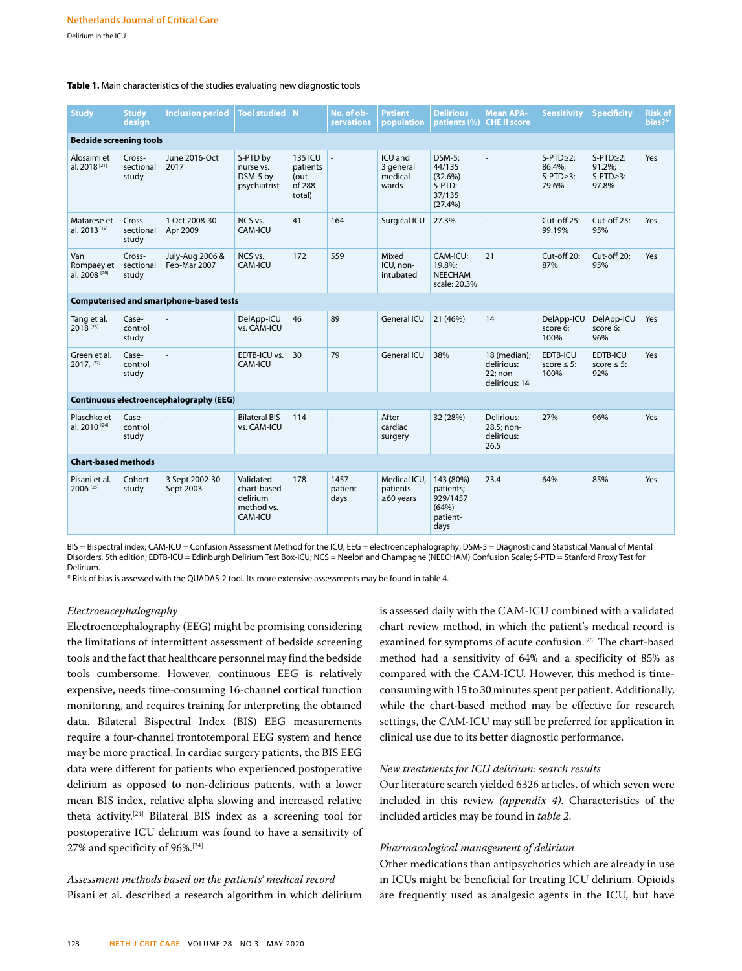Delirium in the ICU

#### **Table 1.** Main characteristics of the studies evaluating new diagnostic tools

| <b>Study</b>                                   | <b>Study</b><br>design       | <b>Inclusion period</b>                 | <b>Tool studied</b>                                           | N                                                      | No. of ob-<br><b>servations</b> | <b>Patient</b><br>population                | <b>Delirious</b><br>patients (%)                                | <b>Mean APA-</b><br><b>CHE II score</b>                 | <b>Sensitivity</b>                                 | <b>Specificity</b>                                      | <b>Risk of</b><br>bias?* |
|------------------------------------------------|------------------------------|-----------------------------------------|---------------------------------------------------------------|--------------------------------------------------------|---------------------------------|---------------------------------------------|-----------------------------------------------------------------|---------------------------------------------------------|----------------------------------------------------|---------------------------------------------------------|--------------------------|
| <b>Bedside screening tools</b>                 |                              |                                         |                                                               |                                                        |                                 |                                             |                                                                 |                                                         |                                                    |                                                         |                          |
| Alosaimi et<br>al. 2018 <sup>[21]</sup>        | Cross-<br>sectional<br>study | June 2016-Oct<br>2017                   | S-PTD by<br>nurse vs.<br>DSM-5 by<br>psychiatrist             | <b>135 ICU</b><br>patients<br>(out<br>of 288<br>total) |                                 | ICU and<br>3 general<br>medical<br>wards    | $DSM-5$ :<br>44/135<br>(32.6%)<br>S-PTD:<br>37/135<br>(27.4%)   |                                                         | $S-PTD>2$ :<br>86.4%;<br>$S-PTD \geq 3$ :<br>79.6% | $S-PTD \geq 2$ :<br>91.2%;<br>$S-PTD \geq 3$ :<br>97.8% | Yes                      |
| Matarese et<br>al. 2013 <sup>[19]</sup>        | Cross-<br>sectional<br>study | 1 Oct 2008-30<br>Apr 2009               | NCS vs.<br>CAM-ICU                                            | 41                                                     | 164                             | Surgical ICU                                | 27.3%                                                           | ÷,                                                      | $Cut$ -off 25:<br>99.19%                           | $Cut-off 25:$<br>95%                                    | Yes                      |
| Van<br>Rompaey et<br>al. 2008 <sup>[20]</sup>  | Cross-<br>sectional<br>study | July-Aug 2006 &<br>Feb-Mar 2007         | NCS vs.<br>CAM-ICU                                            | 172                                                    | 559                             | Mixed<br>ICU, non-<br>intubated             | CAM-ICU:<br>19.8%:<br><b>NEECHAM</b><br>scale: 20.3%            | 21                                                      | Cut-off 20:<br>87%                                 | $Cut$ -off $20$ :<br>95%                                | Yes                      |
| <b>Computerised and smartphone-based tests</b> |                              |                                         |                                                               |                                                        |                                 |                                             |                                                                 |                                                         |                                                    |                                                         |                          |
| Tang et al.<br>2018 <sup>[23]</sup>            | Case-<br>control<br>study    |                                         | DelApp-ICU<br>vs. CAM-ICU                                     | 46                                                     | 89                              | General ICU                                 | 21 (46%)                                                        | 14                                                      | DelApp-ICU<br>score 6:<br>100%                     | DelApp-ICU<br>score 6:<br>96%                           | Yes                      |
| Green et al.<br>$2017,$ [22]                   | Case-<br>control<br>study    |                                         | EDTB-ICU vs.<br>CAM-ICU                                       | 30                                                     | 79                              | General ICU                                 | 38%                                                             | 18 (median):<br>delirious:<br>22; non-<br>delirious: 14 | EDTB-ICU<br>score $\leq 5$ :<br>100%               | EDTB-ICU<br>score $\leq$ 5:<br>92%                      | Yes                      |
|                                                |                              | Continuous electroencephalography (EEG) |                                                               |                                                        |                                 |                                             |                                                                 |                                                         |                                                    |                                                         |                          |
| Plaschke et<br>al. 2010 <sup>[24]</sup>        | Case-<br>control<br>study    |                                         | <b>Bilateral BIS</b><br>vs. CAM-ICU                           | 114                                                    |                                 | After<br>cardiac<br>surgery                 | 32 (28%)                                                        | Delirious:<br>28.5; non-<br>delirious:<br>26.5          | 27%                                                | 96%                                                     | Yes                      |
| <b>Chart-based methods</b>                     |                              |                                         |                                                               |                                                        |                                 |                                             |                                                                 |                                                         |                                                    |                                                         |                          |
| Pisani et al.<br>2006 <sup>[25]</sup>          | Cohort<br>study              | 3 Sept 2002-30<br>Sept 2003             | Validated<br>chart-based<br>delirium<br>method vs.<br>CAM-ICU | 178                                                    | 1457<br>patient<br>days         | Medical ICU,<br>patients<br>$\geq 60$ years | 143 (80%)<br>patients;<br>929/1457<br>(64%)<br>patient-<br>days | 23.4                                                    | 64%                                                | 85%                                                     | Yes                      |

BIS = Bispectral index; CAM-ICU = Confusion Assessment Method for the ICU; EEG = electroencephalography; DSM-5 = Diagnostic and Statistical Manual of Mental Disorders, 5th edition; EDTB-ICU = Edinburgh Delirium Test Box-ICU; NCS = Neelon and Champagne (NEECHAM) Confusion Scale; S-PTD = Stanford Proxy Test for Delirium.

\* Risk of bias is assessed with the QUADAS-2 tool. Its more extensive assessments may be found in table 4.

#### *Electroencephalography*

Electroencephalography (EEG) might be promising considering the limitations of intermittent assessment of bedside screening tools and the fact that healthcare personnel may find the bedside tools cumbersome. However, continuous EEG is relatively expensive, needs time-consuming 16-channel cortical function monitoring, and requires training for interpreting the obtained data. Bilateral Bispectral Index (BIS) EEG measurements require a four-channel frontotemporal EEG system and hence may be more practical. In cardiac surgery patients, the BIS EEG data were different for patients who experienced postoperative delirium as opposed to non-delirious patients, with a lower mean BIS index, relative alpha slowing and increased relative theta activity.[24] Bilateral BIS index as a screening tool for postoperative ICU delirium was found to have a sensitivity of 27% and specificity of 96%.[24]

*Assessment methods based on the patients' medical record* Pisani et al. described a research algorithm in which delirium is assessed daily with the CAM-ICU combined with a validated chart review method, in which the patient's medical record is examined for symptoms of acute confusion.<sup>[25]</sup> The chart-based method had a sensitivity of 64% and a specificity of 85% as compared with the CAM-ICU. However, this method is timeconsuming with 15 to 30 minutes spent per patient. Additionally, while the chart-based method may be effective for research settings, the CAM-ICU may still be preferred for application in clinical use due to its better diagnostic performance.

## *New treatments for ICU delirium: search results*

Our literature search yielded 6326 articles, of which seven were included in this review *(appendix 4)*. Characteristics of the included articles may be found in *table 2*.

## *Pharmacological management of delirium*

Other medications than antipsychotics which are already in use in ICUs might be beneficial for treating ICU delirium. Opioids are frequently used as analgesic agents in the ICU, but have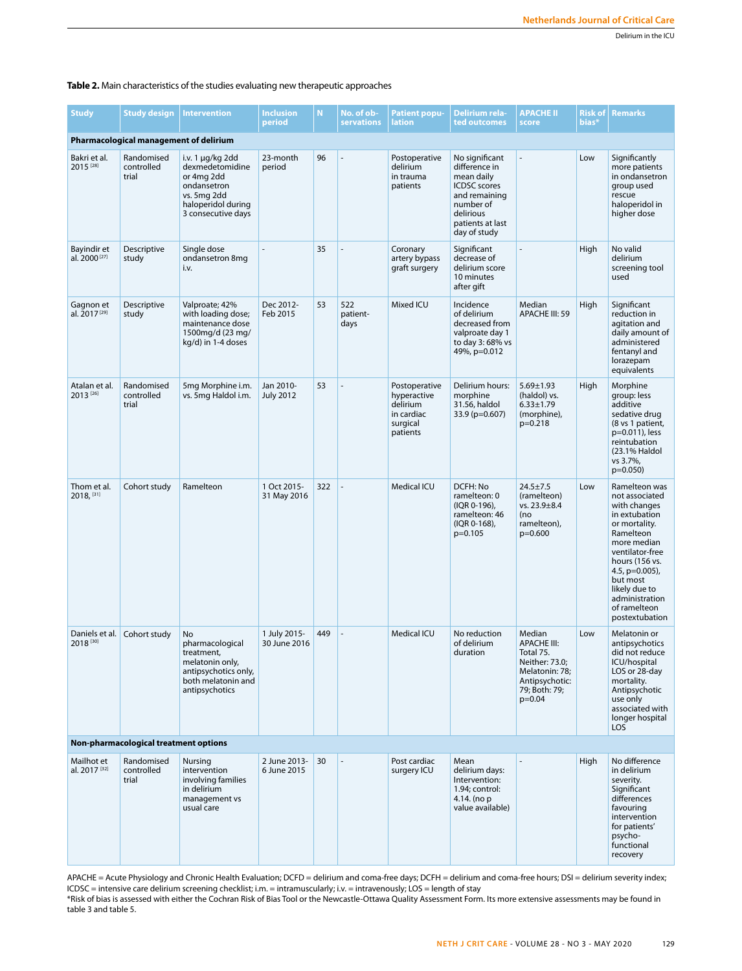# **Table 2.** Main characteristics of the studies evaluating new therapeutic approaches

| <b>Study</b>                                  | <b>Study design</b>               | <b>Intervention</b>                                                                                                              | <b>Inclusion</b><br>period    | N   | No. of ob-<br><b>servations</b> | <b>Patient popu-</b><br>lation                                                 | <b>Delirium rela-</b><br>ted outcomes                                                                                                               | <b>APACHE II</b><br>score                                                                                                    | <b>Risk of</b><br>bias* | <b>Remarks</b>                                                                                                                                                                                                                                           |
|-----------------------------------------------|-----------------------------------|----------------------------------------------------------------------------------------------------------------------------------|-------------------------------|-----|---------------------------------|--------------------------------------------------------------------------------|-----------------------------------------------------------------------------------------------------------------------------------------------------|------------------------------------------------------------------------------------------------------------------------------|-------------------------|----------------------------------------------------------------------------------------------------------------------------------------------------------------------------------------------------------------------------------------------------------|
| <b>Pharmacological management of delirium</b> |                                   |                                                                                                                                  |                               |     |                                 |                                                                                |                                                                                                                                                     |                                                                                                                              |                         |                                                                                                                                                                                                                                                          |
| Bakri et al.<br>2015 [28]                     | Randomised<br>controlled<br>trial | i.v. $1 \mu q/kg$ 2dd<br>dexmedetomidine<br>or 4mg 2dd<br>ondansetron<br>vs. 5mg 2dd<br>haloperidol during<br>3 consecutive days | 23-month<br>period            | 96  |                                 | Postoperative<br>delirium<br>in trauma<br>patients                             | No significant<br>difference in<br>mean daily<br><b>ICDSC</b> scores<br>and remaining<br>number of<br>delirious<br>patients at last<br>day of study |                                                                                                                              | Low                     | Significantly<br>more patients<br>in ondansetron<br>group used<br>rescue<br>haloperidol in<br>higher dose                                                                                                                                                |
| Bayindir et<br>al. 2000 <sup>[27]</sup>       | Descriptive<br>study              | Single dose<br>ondansetron 8mg<br>i.v.                                                                                           |                               | 35  |                                 | Coronary<br>artery bypass<br>graft surgery                                     | Significant<br>decrease of<br>delirium score<br>10 minutes<br>after gift                                                                            |                                                                                                                              | High                    | No valid<br>delirium<br>screening tool<br>used                                                                                                                                                                                                           |
| Gagnon et<br>al. 2017 <sup>[29]</sup>         | Descriptive<br>study              | Valproate; 42%<br>with loading dose;<br>maintenance dose<br>1500mg/d (23 mg/<br>kg/d) in 1-4 doses                               | Dec 2012-<br>Feb 2015         | 53  | 522<br>patient-<br>days         | Mixed ICU                                                                      | Incidence<br>of delirium<br>decreased from<br>valproate day 1<br>to day 3:68% vs<br>49%, p=0.012                                                    | Median<br>APACHE III: 59                                                                                                     | High                    | Significant<br>reduction in<br>agitation and<br>daily amount of<br>administered<br>fentanyl and<br>lorazepam<br>equivalents                                                                                                                              |
| Atalan et al.<br>2013 [26]                    | Randomised<br>controlled<br>trial | 5mg Morphine i.m.<br>vs. 5mg Haldol i.m.                                                                                         | Jan 2010-<br><b>July 2012</b> | 53  |                                 | Postoperative<br>hyperactive<br>delirium<br>in cardiac<br>surgical<br>patients | Delirium hours:<br>morphine<br>31.56, haldol<br>33.9 (p=0.607)                                                                                      | $5.69 \pm 1.93$<br>(haldol) vs.<br>$6.33 \pm 1.79$<br>(morphine),<br>$p=0.218$                                               | High                    | Morphine<br>group: less<br>additive<br>sedative drug<br>(8 vs 1 patient,<br>p=0.011), less<br>reintubation<br>(23.1% Haldol<br>vs 3.7%,<br>$p=0.050$                                                                                                     |
| Thom et al.<br>2018, [31]                     | Cohort study                      | Ramelteon                                                                                                                        | 1 Oct 2015-<br>31 May 2016    | 322 |                                 | <b>Medical ICU</b>                                                             | DCFH: No<br>ramelteon: 0<br>(IQR 0-196),<br>ramelteon: 46<br>(IQR 0-168),<br>$p=0.105$                                                              | $24.5 \pm 7.5$<br>(ramelteon)<br>vs. $23.9 \pm 8.4$<br>(no<br>ramelteon),<br>$p=0.600$                                       | Low                     | Ramelteon was<br>not associated<br>with changes<br>in extubation<br>or mortality.<br>Ramelteon<br>more median<br>ventilator-free<br>hours (156 vs.<br>4.5, $p=0.005$ ),<br>but most<br>likely due to<br>administration<br>of ramelteon<br>postextubation |
| Daniels et al.<br>2018 [30]                   | Cohort study                      | No<br>pharmacological<br>treatment,<br>melatonin only,<br>antipsychotics only,<br>both melatonin and<br>antipsychotics           | 1 July 2015-<br>30 June 2016  | 449 |                                 | <b>Medical ICU</b>                                                             | No reduction<br>of delirium<br>duration                                                                                                             | Median<br><b>APACHE III:</b><br>Total 75.<br>Neither: 73.0;<br>Melatonin: 78;<br>Antipsychotic:<br>79; Both: 79;<br>$p=0.04$ | Low                     | Melatonin or<br>antipsychotics<br>did not reduce<br>ICU/hospital<br>LOS or 28-day<br>mortality.<br>Antipsychotic<br>use only<br>associated with<br>longer hospital<br><b>LOS</b>                                                                         |
| Non-pharmacological treatment options         |                                   |                                                                                                                                  |                               |     |                                 |                                                                                |                                                                                                                                                     |                                                                                                                              |                         |                                                                                                                                                                                                                                                          |
| Mailhot et<br>al. 2017 <sup>[32]</sup>        | Randomised<br>controlled<br>trial | Nursing<br>intervention<br>involving families<br>in delirium<br>management vs<br>usual care                                      | 2 June 2013-<br>6 June 2015   | 30  |                                 | Post cardiac<br>surgery ICU                                                    | Mean<br>delirium days:<br>Intervention:<br>1.94: control:<br>4.14. (no p<br>value available)                                                        |                                                                                                                              | High                    | No difference<br>in delirium<br>severity.<br>Significant<br>differences<br>favouring<br>intervention<br>for patients'<br>psycho-<br>functional<br>recovery                                                                                               |

APACHE = Acute Physiology and Chronic Health Evaluation; DCFD = delirium and coma-free days; DCFH = delirium and coma-free hours; DSI = delirium severity index; ICDSC = intensive care delirium screening checklist; i.m. = intramuscularly; i.v. = intravenously; LOS = length of stay \*Risk of bias is assessed with either the Cochran Risk of Bias Tool or the Newcastle-Ottawa Quality Assessment Form. Its more extensive assessments may be found in table 3 and table 5.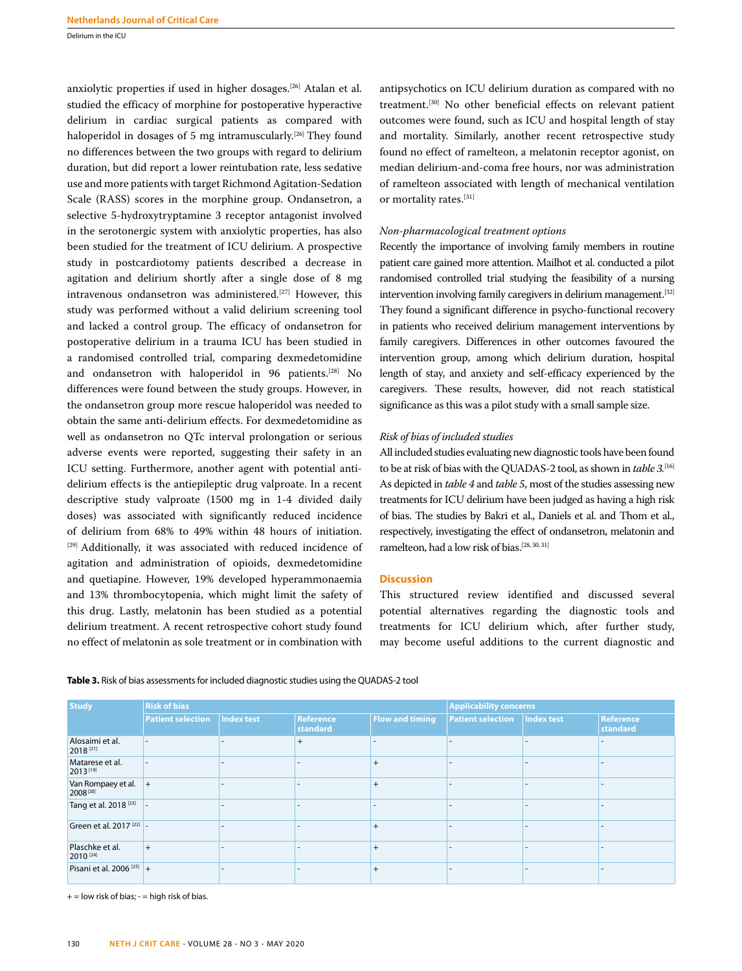Delirium in the ICU

anxiolytic properties if used in higher dosages.[26] Atalan et al. studied the efficacy of morphine for postoperative hyperactive delirium in cardiac surgical patients as compared with haloperidol in dosages of 5 mg intramuscularly.<sup>[26]</sup> They found no differences between the two groups with regard to delirium duration, but did report a lower reintubation rate, less sedative use and more patients with target Richmond Agitation-Sedation Scale (RASS) scores in the morphine group. Ondansetron, a selective 5-hydroxytryptamine 3 receptor antagonist involved in the serotonergic system with anxiolytic properties, has also been studied for the treatment of ICU delirium. A prospective study in postcardiotomy patients described a decrease in agitation and delirium shortly after a single dose of 8 mg intravenous ondansetron was administered.<sup>[27]</sup> However, this study was performed without a valid delirium screening tool and lacked a control group. The efficacy of ondansetron for postoperative delirium in a trauma ICU has been studied in a randomised controlled trial, comparing dexmedetomidine and ondansetron with haloperidol in 96 patients.[28] No differences were found between the study groups. However, in the ondansetron group more rescue haloperidol was needed to obtain the same anti-delirium effects. For dexmedetomidine as well as ondansetron no QTc interval prolongation or serious adverse events were reported, suggesting their safety in an ICU setting. Furthermore, another agent with potential antidelirium effects is the antiepileptic drug valproate. In a recent descriptive study valproate (1500 mg in 1-4 divided daily doses) was associated with significantly reduced incidence of delirium from 68% to 49% within 48 hours of initiation. [29] Additionally, it was associated with reduced incidence of agitation and administration of opioids, dexmedetomidine and quetiapine. However, 19% developed hyperammonaemia and 13% thrombocytopenia, which might limit the safety of this drug. Lastly, melatonin has been studied as a potential delirium treatment. A recent retrospective cohort study found no effect of melatonin as sole treatment or in combination with antipsychotics on ICU delirium duration as compared with no treatment.[30] No other beneficial effects on relevant patient outcomes were found, such as ICU and hospital length of stay and mortality. Similarly, another recent retrospective study found no effect of ramelteon, a melatonin receptor agonist, on median delirium-and-coma free hours, nor was administration of ramelteon associated with length of mechanical ventilation or mortality rates.[31]

# *Non-pharmacological treatment options*

Recently the importance of involving family members in routine patient care gained more attention. Mailhot et al. conducted a pilot randomised controlled trial studying the feasibility of a nursing intervention involving family caregivers in delirium management.<sup>[32]</sup> They found a significant difference in psycho-functional recovery in patients who received delirium management interventions by family caregivers. Differences in other outcomes favoured the intervention group, among which delirium duration, hospital length of stay, and anxiety and self-efficacy experienced by the caregivers. These results, however, did not reach statistical significance as this was a pilot study with a small sample size.

# *Risk of bias of included studies*

All included studies evaluating new diagnostic tools have been found to be at risk of bias with the QUADAS-2 tool, as shown in *table 3.*[16] As depicted in *table 4* and *table 5*, most of the studies assessing new treatments for ICU delirium have been judged as having a high risk of bias. The studies by Bakri et al., Daniels et al. and Thom et al., respectively, investigating the effect of ondansetron, melatonin and ramelteon, had a low risk of bias.[28, 30, 31]

## **Discussion**

This structured review identified and discussed several potential alternatives regarding the diagnostic tools and treatments for ICU delirium which, after further study, may become useful additions to the current diagnostic and

| <b>Study</b>                                   | <b>Risk of bias</b>      |            |                       | <b>Applicability concerns</b> |                                |  |                       |
|------------------------------------------------|--------------------------|------------|-----------------------|-------------------------------|--------------------------------|--|-----------------------|
|                                                | <b>Patient selection</b> | Index test | Reference<br>standard | <b>Flow and timing</b>        | Patient selection   Index test |  | Reference<br>standard |
| Alosaimi et al.<br>2018 [21]                   |                          |            | $^{+}$                |                               |                                |  |                       |
| Matarese et al.<br>2013[19]                    |                          |            |                       | $^{+}$                        |                                |  |                       |
| Van Rompaey et al. $+$<br>2008 <sup>[20]</sup> |                          |            |                       | $^{+}$                        |                                |  |                       |
| Tang et al. 2018 <sup>[23]</sup> -             |                          |            |                       |                               |                                |  |                       |
| Green et al. 2017 <sup>[22]</sup> -            |                          |            |                       | $^{+}$                        |                                |  |                       |
| Plaschke et al.<br>2010 [24]                   | $+$                      |            |                       | $^{+}$                        |                                |  |                       |
| Pisani et al. 2006 <sup>[25]</sup> +           |                          |            |                       |                               |                                |  |                       |

**Table 3.** Risk of bias assessments for included diagnostic studies using the QUADAS-2 tool

 $+=$  low risk of bias;  $-$  = high risk of bias.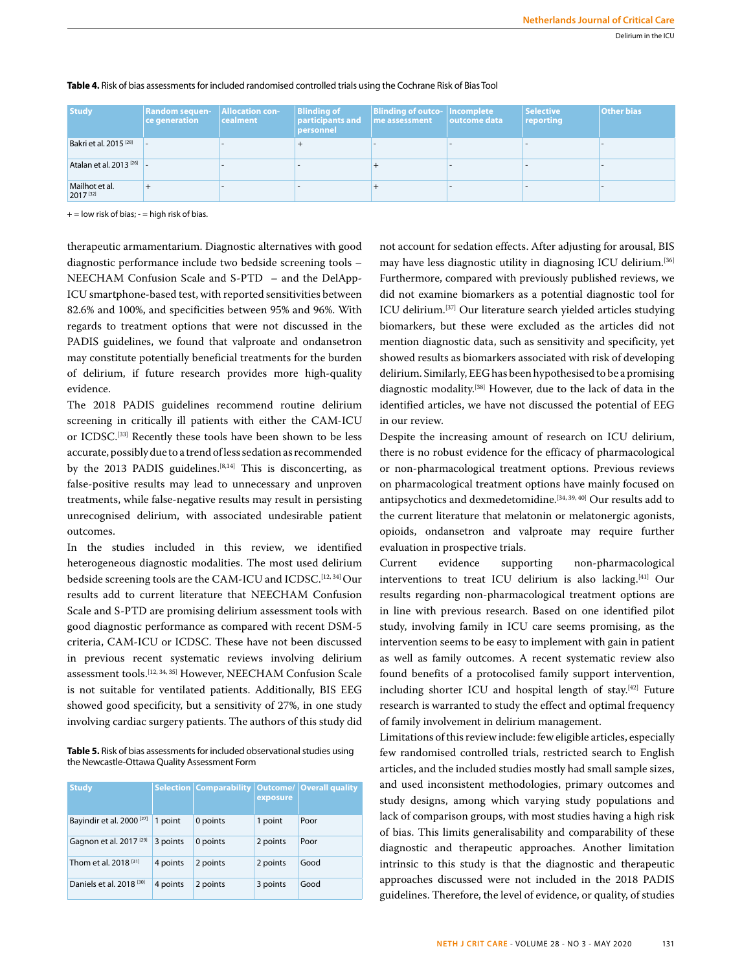| <b>Study</b>                           | <b>Random sequen-</b><br>ce generation | Allocation con-<br><b>cealment</b> | <b>Blinding of</b><br>$ $ participants and $ $ me assessment<br>personnel | <b>Blinding of outco- Incomplete</b> | $\vert$ outcome data | <b>Selective</b><br>reporting | <b>Other bias</b> |
|----------------------------------------|----------------------------------------|------------------------------------|---------------------------------------------------------------------------|--------------------------------------|----------------------|-------------------------------|-------------------|
| Bakri et al. 2015 <sup>[28]</sup>      |                                        |                                    |                                                                           |                                      |                      |                               |                   |
| Atalan et al. 2013 <sup>[26]</sup> -   |                                        |                                    |                                                                           |                                      |                      |                               |                   |
| Mailhot et al.<br>2017 <sup>[32]</sup> |                                        |                                    |                                                                           |                                      |                      |                               |                   |

## **Table 4.** Risk of bias assessments for included randomised controlled trials using the Cochrane Risk of Bias Tool

 $+=$  low risk of bias;  $=$  high risk of bias.

therapeutic armamentarium. Diagnostic alternatives with good diagnostic performance include two bedside screening tools – NEECHAM Confusion Scale and S-PTD – and the DelApp-ICU smartphone-based test, with reported sensitivities between 82.6% and 100%, and specificities between 95% and 96%. With regards to treatment options that were not discussed in the PADIS guidelines, we found that valproate and ondansetron may constitute potentially beneficial treatments for the burden of delirium, if future research provides more high-quality evidence.

The 2018 PADIS guidelines recommend routine delirium screening in critically ill patients with either the CAM-ICU or ICDSC.[33] Recently these tools have been shown to be less accurate, possibly due to a trend of less sedation as recommended by the 2013 PADIS guidelines.<sup>[8,14]</sup> This is disconcerting, as false-positive results may lead to unnecessary and unproven treatments, while false-negative results may result in persisting unrecognised delirium, with associated undesirable patient outcomes.

In the studies included in this review, we identified heterogeneous diagnostic modalities. The most used delirium bedside screening tools are the CAM-ICU and ICDSC.[12, 34] Our results add to current literature that NEECHAM Confusion Scale and S-PTD are promising delirium assessment tools with good diagnostic performance as compared with recent DSM-5 criteria, CAM-ICU or ICDSC. These have not been discussed in previous recent systematic reviews involving delirium assessment tools.[12, 34, 35] However, NEECHAM Confusion Scale is not suitable for ventilated patients. Additionally, BIS EEG showed good specificity, but a sensitivity of 27%, in one study involving cardiac surgery patients. The authors of this study did

**Table 5.** Risk of bias assessments for included observational studies using the Newcastle-Ottawa Quality Assessment Form

| <b>Study</b>                         |          |          | exposure | Selection   Comparability   Outcome/   Overall quality |
|--------------------------------------|----------|----------|----------|--------------------------------------------------------|
| Bayindir et al. 2000 <sup>[27]</sup> | 1 point  | 0 points | 1 point  | Poor                                                   |
| Gagnon et al. 2017 <sup>[29]</sup>   | 3 points | 0 points | 2 points | Poor                                                   |
| Thom et al. 2018 <sup>[31]</sup>     | 4 points | 2 points | 2 points | Good                                                   |
| Daniels et al. 2018 <sup>[30]</sup>  | 4 points | 2 points | 3 points | Good                                                   |

not account for sedation effects. After adjusting for arousal, BIS may have less diagnostic utility in diagnosing ICU delirium.[36] Furthermore, compared with previously published reviews, we did not examine biomarkers as a potential diagnostic tool for ICU delirium.[37] Our literature search yielded articles studying biomarkers, but these were excluded as the articles did not mention diagnostic data, such as sensitivity and specificity, yet showed results as biomarkers associated with risk of developing delirium. Similarly, EEG has been hypothesised to be a promising diagnostic modality.[38] However, due to the lack of data in the identified articles, we have not discussed the potential of EEG in our review.

Despite the increasing amount of research on ICU delirium, there is no robust evidence for the efficacy of pharmacological or non-pharmacological treatment options. Previous reviews on pharmacological treatment options have mainly focused on antipsychotics and dexmedetomidine.<sup>[34, 39, 40]</sup> Our results add to the current literature that melatonin or melatonergic agonists, opioids, ondansetron and valproate may require further evaluation in prospective trials.

Current evidence supporting non-pharmacological interventions to treat ICU delirium is also lacking.[41] Our results regarding non-pharmacological treatment options are in line with previous research. Based on one identified pilot study, involving family in ICU care seems promising, as the intervention seems to be easy to implement with gain in patient as well as family outcomes. A recent systematic review also found benefits of a protocolised family support intervention, including shorter ICU and hospital length of stay.[42] Future research is warranted to study the effect and optimal frequency of family involvement in delirium management.

Limitations of this review include: few eligible articles, especially few randomised controlled trials, restricted search to English articles, and the included studies mostly had small sample sizes, and used inconsistent methodologies, primary outcomes and study designs, among which varying study populations and lack of comparison groups, with most studies having a high risk of bias. This limits generalisability and comparability of these diagnostic and therapeutic approaches. Another limitation intrinsic to this study is that the diagnostic and therapeutic approaches discussed were not included in the 2018 PADIS guidelines. Therefore, the level of evidence, or quality, of studies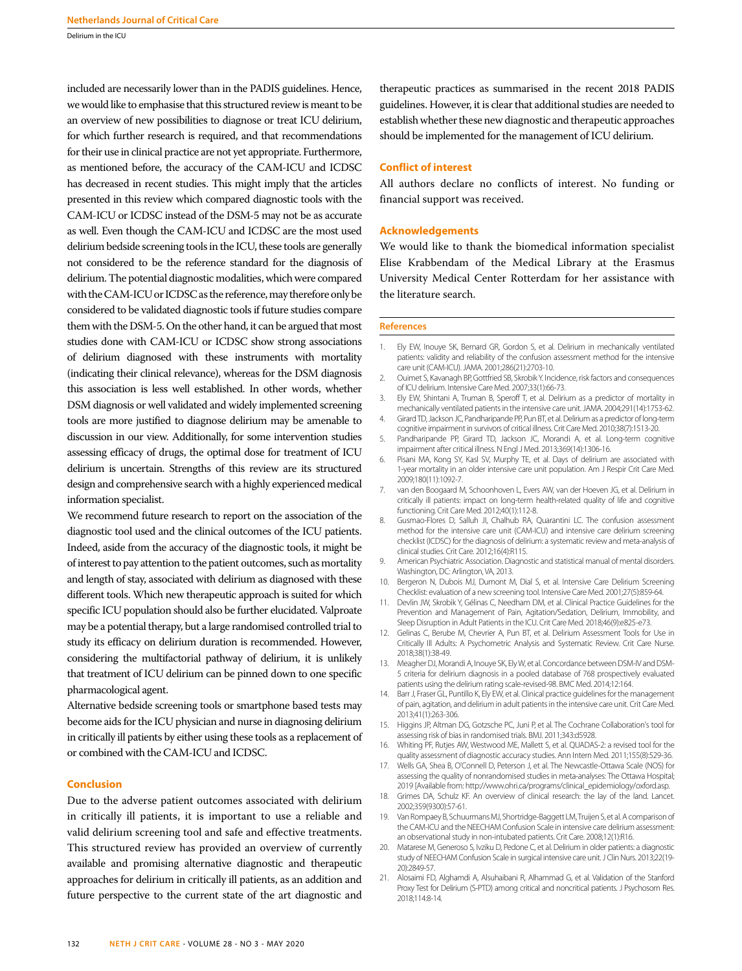Delirium in the ICU

included are necessarily lower than in the PADIS guidelines. Hence, we would like to emphasise that this structured review is meant to be an overview of new possibilities to diagnose or treat ICU delirium, for which further research is required, and that recommendations for their use in clinical practice are not yet appropriate. Furthermore, as mentioned before, the accuracy of the CAM-ICU and ICDSC has decreased in recent studies. This might imply that the articles presented in this review which compared diagnostic tools with the CAM-ICU or ICDSC instead of the DSM-5 may not be as accurate as well. Even though the CAM-ICU and ICDSC are the most used delirium bedside screening tools in the ICU, these tools are generally not considered to be the reference standard for the diagnosis of delirium. The potential diagnostic modalities, which were compared with the CAM-ICU or ICDSC as the reference, may therefore only be considered to be validated diagnostic tools if future studies compare them with the DSM-5. On the other hand, it can be argued that most studies done with CAM-ICU or ICDSC show strong associations of delirium diagnosed with these instruments with mortality (indicating their clinical relevance), whereas for the DSM diagnosis this association is less well established. In other words, whether DSM diagnosis or well validated and widely implemented screening tools are more justified to diagnose delirium may be amenable to discussion in our view. Additionally, for some intervention studies assessing efficacy of drugs, the optimal dose for treatment of ICU delirium is uncertain. Strengths of this review are its structured design and comprehensive search with a highly experienced medical information specialist.

We recommend future research to report on the association of the diagnostic tool used and the clinical outcomes of the ICU patients. Indeed, aside from the accuracy of the diagnostic tools, it might be of interest to pay attention to the patient outcomes, such as mortality and length of stay, associated with delirium as diagnosed with these different tools. Which new therapeutic approach is suited for which specific ICU population should also be further elucidated. Valproate may be a potential therapy, but a large randomised controlled trial to study its efficacy on delirium duration is recommended. However, considering the multifactorial pathway of delirium, it is unlikely that treatment of ICU delirium can be pinned down to one specific pharmacological agent.

Alternative bedside screening tools or smartphone based tests may become aids for the ICU physician and nurse in diagnosing delirium in critically ill patients by either using these tools as a replacement of or combined with the CAM-ICU and ICDSC.

# **Conclusion**

Due to the adverse patient outcomes associated with delirium in critically ill patients, it is important to use a reliable and valid delirium screening tool and safe and effective treatments. This structured review has provided an overview of currently available and promising alternative diagnostic and therapeutic approaches for delirium in critically ill patients, as an addition and future perspective to the current state of the art diagnostic and therapeutic practices as summarised in the recent 2018 PADIS guidelines. However, it is clear that additional studies are needed to establish whether these new diagnostic and therapeutic approaches should be implemented for the management of ICU delirium.

## **Conflict of interest**

All authors declare no conflicts of interest. No funding or financial support was received.

## **Acknowledgements**

We would like to thank the biomedical information specialist Elise Krabbendam of the Medical Library at the Erasmus University Medical Center Rotterdam for her assistance with the literature search.

## **References**

- 1. Ely EW, Inouye SK, Bernard GR, Gordon S, et al. Delirium in mechanically ventilated patients: validity and reliability of the confusion assessment method for the intensive care unit (CAM-ICU). JAMA. 2001;286(21):2703-10.
- 2. Ouimet S, Kavanagh BP, Gottfried SB, Skrobik Y. Incidence, risk factors and consequences of ICU delirium. Intensive Care Med. 2007;33(1):66-73.
- 3. Ely EW, Shintani A, Truman B, Speroff T, et al. Delirium as a predictor of mortality in mechanically ventilated patients in the intensive care unit. JAMA. 2004;291(14):1753-62.
- 4. Girard TD, Jackson JC, Pandharipande PP, Pun BT, et al. Delirium as a predictor of long-term cognitive impairment in survivors of critical illness. Crit Care Med. 2010;38(7):1513-20.
- 5. Pandharipande PP, Girard TD, Jackson JC, Morandi A, et al. Long-term cognitive impairment after critical illness. N Engl J Med. 2013;369(14):1306-16.
- 6. Pisani MA, Kong SY, Kasl SV, Murphy TE, et al. Days of delirium are associated with 1-year mortality in an older intensive care unit population. Am J Respir Crit Care Med. 2009;180(11):1092-7.
- 7. van den Boogaard M, Schoonhoven L, Evers AW, van der Hoeven JG, et al. Delirium in critically ill patients: impact on long-term health-related quality of life and cognitive functioning. Crit Care Med. 2012;40(1):112-8.
- 8. Gusmao-Flores D, Salluh JI, Chalhub RA, Quarantini LC. The confusion assessment method for the intensive care unit (CAM-ICU) and intensive care delirium screening checklist (ICDSC) for the diagnosis of delirium: a systematic review and meta-analysis of clinical studies. Crit Care. 2012;16(4):R115.
- 9. American Psychiatric Association. Diagnostic and statistical manual of mental disorders. Washington, DC: Arlington, VA, 2013.
- 10. Bergeron N, Dubois MJ, Dumont M, Dial S, et al. Intensive Care Delirium Screening Checklist: evaluation of a new screening tool. Intensive Care Med. 2001;27(5):859-64.
- 11. Devlin JW, Skrobik Y, Gélinas C, Needham DM, et al. Clinical Practice Guidelines for the Prevention and Management of Pain, Agitation/Sedation, Delirium, Immobility, and Sleep Disruption in Adult Patients in the ICU. Crit Care Med. 2018;46(9):e825-e73.
- 12. Gelinas C, Berube M, Chevrier A, Pun BT, et al. Delirium Assessment Tools for Use in Critically Ill Adults: A Psychometric Analysis and Systematic Review. Crit Care Nurse. 2018;38(1):38-49.
- 13. Meagher DJ, Morandi A, Inouye SK, Ely W, et al. Concordance between DSM-IV and DSM-5 criteria for delirium diagnosis in a pooled database of 768 prospectively evaluated patients using the delirium rating scale-revised-98. BMC Med. 2014;12:164.
- 14. Barr J, Fraser GL, Puntillo K, Ely EW, et al. Clinical practice guidelines for the management of pain, agitation, and delirium in adult patients in the intensive care unit. Crit Care Med. 2013;41(1):263-306.
- 15. Higgins JP, Altman DG, Gotzsche PC, Juni P, et al. The Cochrane Collaboration's tool for assessing risk of bias in randomised trials. BMJ. 2011;343:d5928.
- 16. Whiting PF, Rutjes AW, Westwood ME, Mallett S, et al. QUADAS-2: a revised tool for the quality assessment of diagnostic accuracy studies. Ann Intern Med. 2011;155(8):529-36.
- 17. Wells GA, Shea B, O'Connell D, Peterson J, et al. The Newcastle-Ottawa Scale (NOS) for assessing the quality of nonrandomised studies in meta-analyses: The Ottawa Hospital; 2019 [Available from: http://www.ohri.ca/programs/clinical\_epidemiology/oxford.asp.
- 18. Grimes DA, Schulz KF. An overview of clinical research: the lay of the land. Lancet. 2002;359(9300):57-61.
- 19. Van Rompaey B, Schuurmans MJ, Shortridge-Baggett LM, Truijen S, et al. A comparison of the CAM-ICU and the NEECHAM Confusion Scale in intensive care delirium assessment: an observational study in non-intubated patients. Crit Care. 2008;12(1):R16.
- 20. Matarese M, Generoso S, Ivziku D, Pedone C, et al. Delirium in older patients: a diagnostic study of NEECHAM Confusion Scale in surgical intensive care unit. J Clin Nurs. 2013;22(19- 20):2849-57.
- 21. Alosaimi FD, Alghamdi A, Alsuhaibani R, Alhammad G, et al. Validation of the Stanford Proxy Test for Delirium (S-PTD) among critical and noncritical patients. J Psychosom Res. 2018;114:8-14.